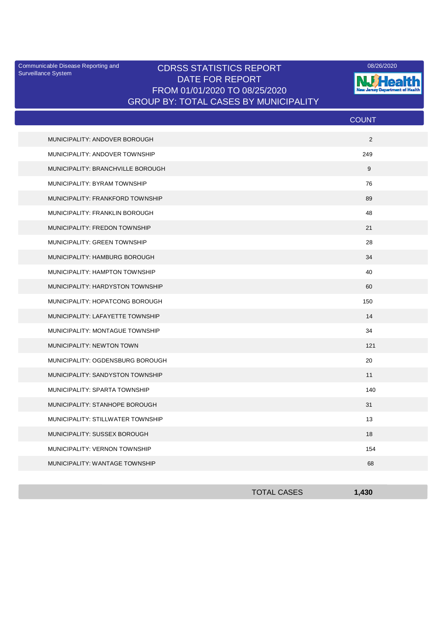Surveillance System

## Communicable Disease Reporting and CDRSS STATISTICS REPORT 2008/2020 2009/26/2020 DATE FOR REPORT FROM 01/01/2020 TO 08/25/2020 GROUP BY: TOTAL CASES BY MUNICIPALITY



|                                   | <b>COUNT</b> |
|-----------------------------------|--------------|
| MUNICIPALITY: ANDOVER BOROUGH     | 2            |
| MUNICIPALITY: ANDOVER TOWNSHIP    | 249          |
| MUNICIPALITY: BRANCHVILLE BOROUGH | 9            |
| MUNICIPALITY: BYRAM TOWNSHIP      | 76           |
| MUNICIPALITY: FRANKFORD TOWNSHIP  | 89           |
| MUNICIPALITY: FRANKLIN BOROUGH    | 48           |
| MUNICIPALITY: FREDON TOWNSHIP     | 21           |
| MUNICIPALITY: GREEN TOWNSHIP      | 28           |
| MUNICIPALITY: HAMBURG BOROUGH     | 34           |
| MUNICIPALITY: HAMPTON TOWNSHIP    | 40           |
| MUNICIPALITY: HARDYSTON TOWNSHIP  | 60           |
| MUNICIPALITY: HOPATCONG BOROUGH   | 150          |
| MUNICIPALITY: LAFAYETTE TOWNSHIP  | 14           |
| MUNICIPALITY: MONTAGUE TOWNSHIP   | 34           |
| MUNICIPALITY: NEWTON TOWN         | 121          |
| MUNICIPALITY: OGDENSBURG BOROUGH  | 20           |
| MUNICIPALITY: SANDYSTON TOWNSHIP  | 11           |
| MUNICIPALITY: SPARTA TOWNSHIP     | 140          |
| MUNICIPALITY: STANHOPE BOROUGH    | 31           |
| MUNICIPALITY: STILLWATER TOWNSHIP | 13           |
| MUNICIPALITY: SUSSEX BOROUGH      | 18           |
| MUNICIPALITY: VERNON TOWNSHIP     | 154          |
| MUNICIPALITY: WANTAGE TOWNSHIP    | 68           |

| <b>TOTAL CASES</b> | 120 |
|--------------------|-----|
|                    |     |